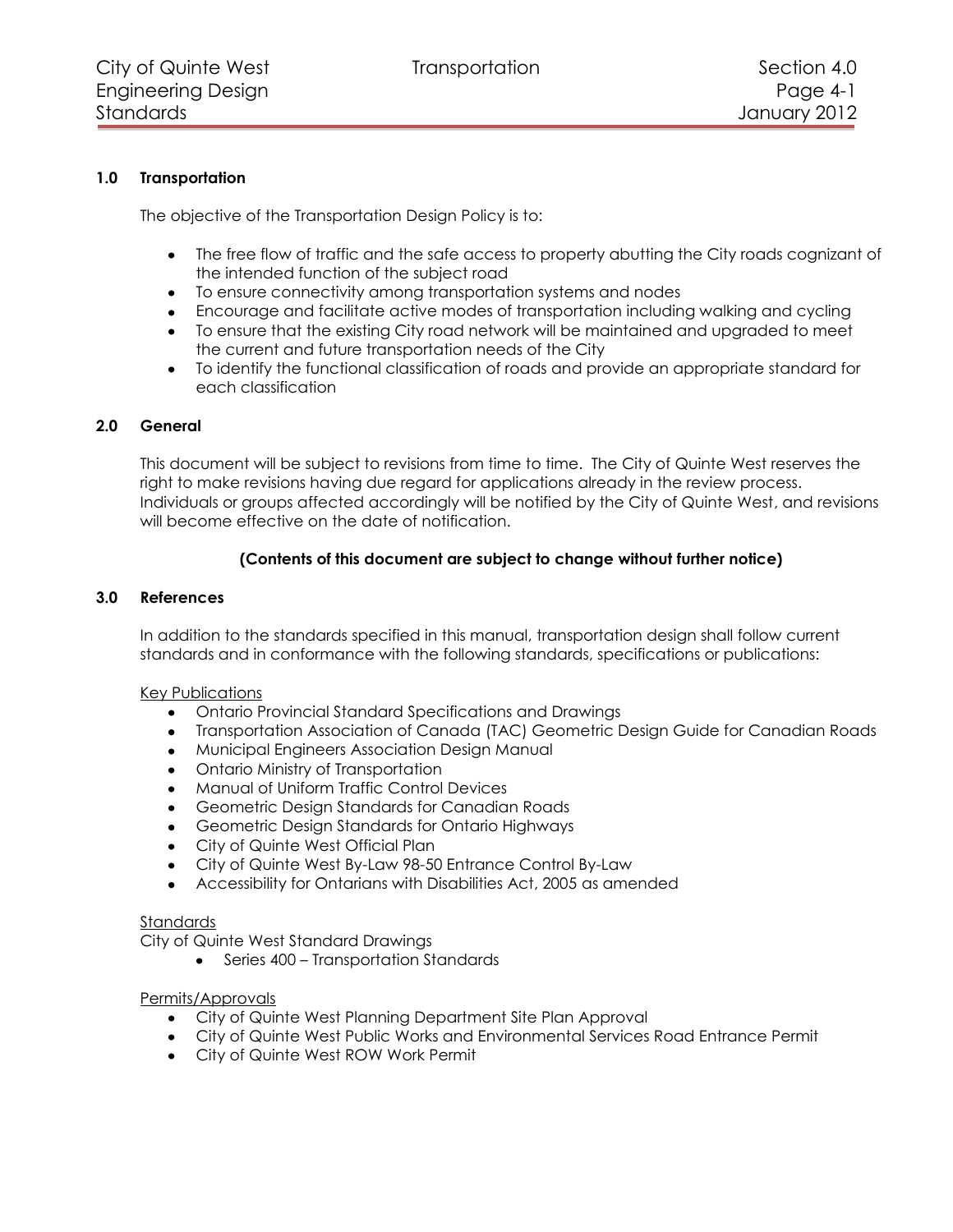# **1.0 Transportation**

The objective of the Transportation Design Policy is to:

- The free flow of traffic and the safe access to property abutting the City roads cognizant of the intended function of the subject road
- To ensure connectivity among transportation systems and nodes
- Encourage and facilitate active modes of transportation including walking and cycling
- To ensure that the existing City road network will be maintained and upgraded to meet the current and future transportation needs of the City
- To identify the functional classification of roads and provide an appropriate standard for each classification

## **2.0 General**

This document will be subject to revisions from time to time. The City of Quinte West reserves the right to make revisions having due regard for applications already in the review process. Individuals or groups affected accordingly will be notified by the City of Quinte West, and revisions will become effective on the date of notification.

# **(Contents of this document are subject to change without further notice)**

#### **3.0 References**

In addition to the standards specified in this manual, transportation design shall follow current standards and in conformance with the following standards, specifications or publications:

## Key Publications

- Ontario Provincial Standard Specifications and Drawings
- Transportation Association of Canada (TAC) Geometric Design Guide for Canadian Roads
- Municipal Engineers Association Design Manual
- Ontario Ministry of Transportation
- Manual of Uniform Traffic Control Devices
- Geometric Design Standards for Canadian Roads
- Geometric Design Standards for Ontario Highways
- City of Quinte West Official Plan
- City of Quinte West By-Law 98-50 Entrance Control By-Law
- Accessibility for Ontarians with Disabilities Act, 2005 as amended

#### Standards

City of Quinte West Standard Drawings

• Series 400 – Transportation Standards

## Permits/Approvals

- City of Quinte West Planning Department Site Plan Approval
- City of Quinte West Public Works and Environmental Services Road Entrance Permit
- City of Quinte West ROW Work Permit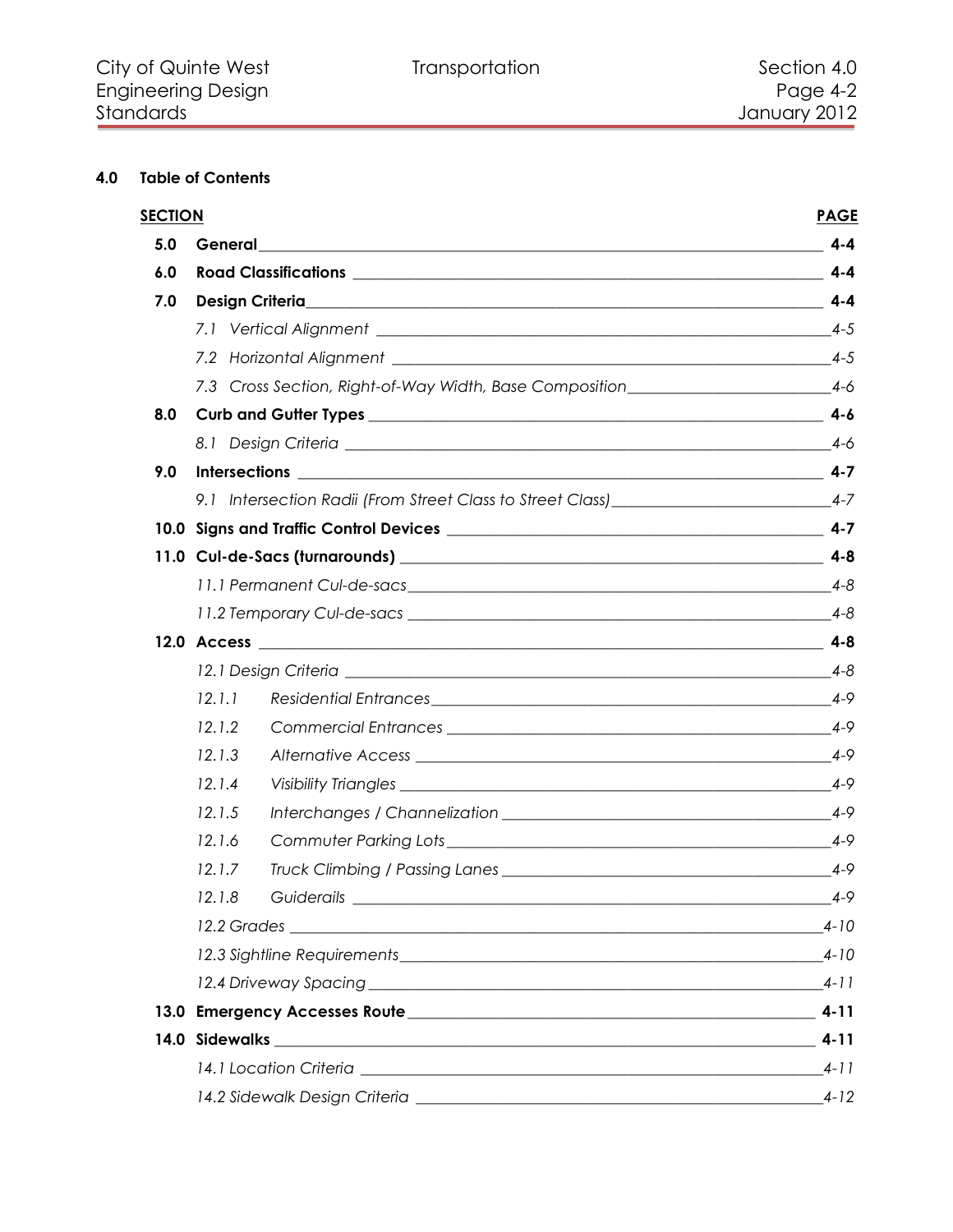# **4.0 Table of Contents**

| <b>SECTION</b> |                 |                                                                                                                                                                                                                                | <b>PAGE</b> |
|----------------|-----------------|--------------------------------------------------------------------------------------------------------------------------------------------------------------------------------------------------------------------------------|-------------|
| 5.0            | General         | <u> 1989 - John Stone, Amerikaans en Stone (d. 1989)</u>                                                                                                                                                                       | $4 - 4$     |
| 6.0            |                 |                                                                                                                                                                                                                                |             |
| 7.0            | Design Criteria | $4 - 4$                                                                                                                                                                                                                        |             |
|                |                 |                                                                                                                                                                                                                                |             |
|                |                 |                                                                                                                                                                                                                                |             |
|                |                 | 7.3 Cross Section, Right-of-Way Width, Base Composition________________________4-6                                                                                                                                             |             |
| 8.0            |                 |                                                                                                                                                                                                                                |             |
|                |                 |                                                                                                                                                                                                                                |             |
| 9.0            |                 |                                                                                                                                                                                                                                |             |
|                |                 | 9.1 Intersection Radii (From Street Class to Street Class) _______________________4-7                                                                                                                                          |             |
|                |                 |                                                                                                                                                                                                                                |             |
|                |                 |                                                                                                                                                                                                                                |             |
|                |                 |                                                                                                                                                                                                                                | $4 - 8$     |
|                |                 |                                                                                                                                                                                                                                |             |
|                |                 |                                                                                                                                                                                                                                |             |
|                |                 |                                                                                                                                                                                                                                | $4 - 8$     |
|                | 12.1.1          |                                                                                                                                                                                                                                |             |
|                | 12.1.2          |                                                                                                                                                                                                                                | $4 - 9$     |
|                | 12.1.3          |                                                                                                                                                                                                                                | $4-9$       |
|                | 12.1.4          |                                                                                                                                                                                                                                | $4 - 9$     |
|                | 12.1.5          |                                                                                                                                                                                                                                | $4 - 9$     |
|                | 12.1.6          | Commuter Parking Lots experience and the commuter of the contract of the contract of the contract of the contract of the contract of the contract of the contract of the contract of the contract of the contract of the contr | $4 - 9$     |
|                | 12.1.7          |                                                                                                                                                                                                                                | $4 - 9$     |
|                | 12.1.8          | Guiderails                                                                                                                                                                                                                     | $4 - 9$     |
|                |                 | $4 - 10$                                                                                                                                                                                                                       |             |
|                |                 |                                                                                                                                                                                                                                |             |
|                |                 |                                                                                                                                                                                                                                |             |
|                |                 |                                                                                                                                                                                                                                |             |
|                |                 |                                                                                                                                                                                                                                | $4 - 11$    |
|                |                 | $4 - 11$                                                                                                                                                                                                                       |             |
|                |                 |                                                                                                                                                                                                                                | $4 - 12$    |
|                |                 |                                                                                                                                                                                                                                |             |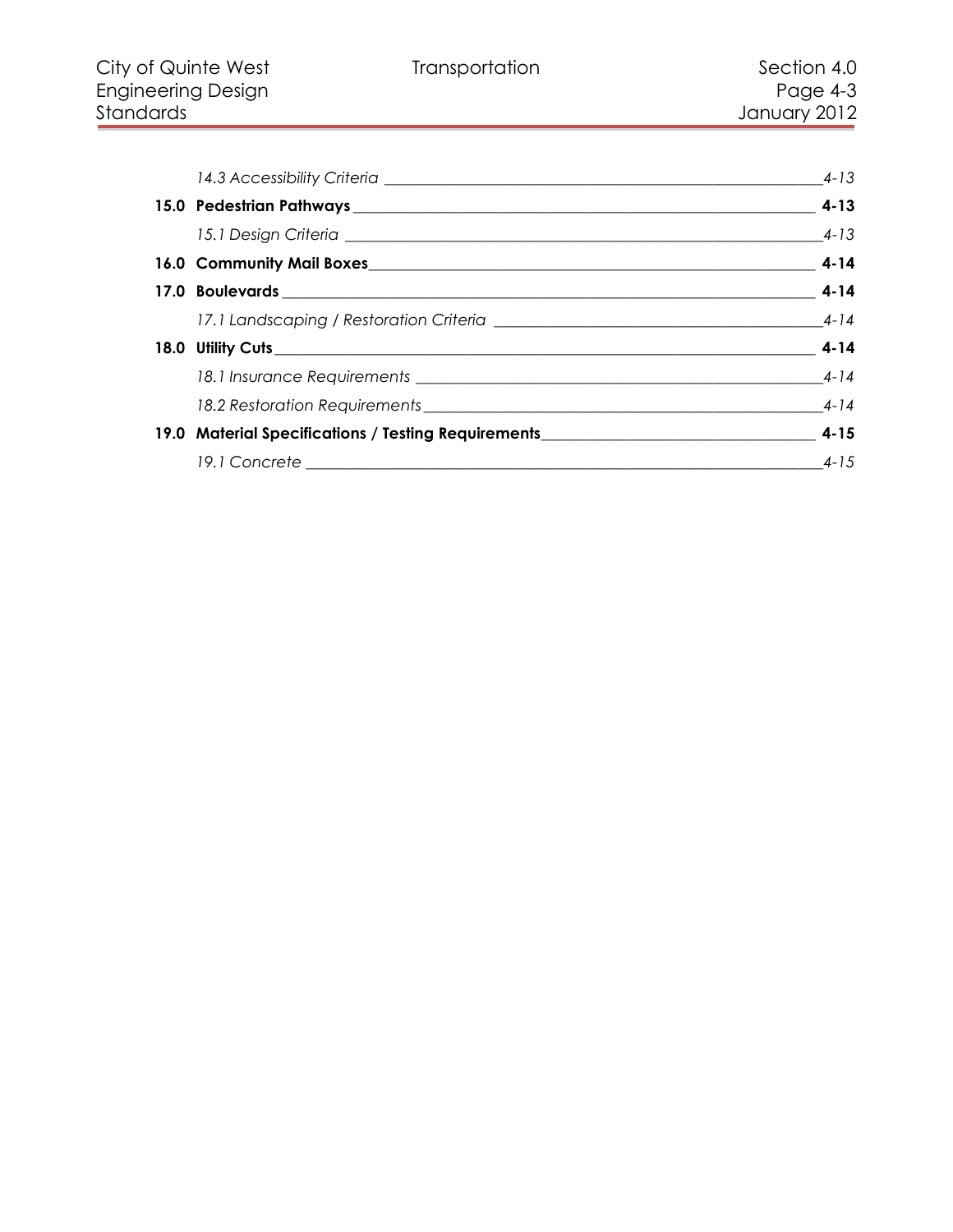| 14.3 Accessibility Criteria <b>contract and a set of the contract of the contract of the contract of the contract of the contract of the contract of the contract of the contract of the contract of the contract of the contrac</b> | 4-13                     |
|--------------------------------------------------------------------------------------------------------------------------------------------------------------------------------------------------------------------------------------|--------------------------|
|                                                                                                                                                                                                                                      |                          |
|                                                                                                                                                                                                                                      |                          |
|                                                                                                                                                                                                                                      |                          |
|                                                                                                                                                                                                                                      |                          |
|                                                                                                                                                                                                                                      |                          |
|                                                                                                                                                                                                                                      |                          |
|                                                                                                                                                                                                                                      |                          |
|                                                                                                                                                                                                                                      |                          |
|                                                                                                                                                                                                                                      |                          |
|                                                                                                                                                                                                                                      | $\overline{\qquad}$ 4-15 |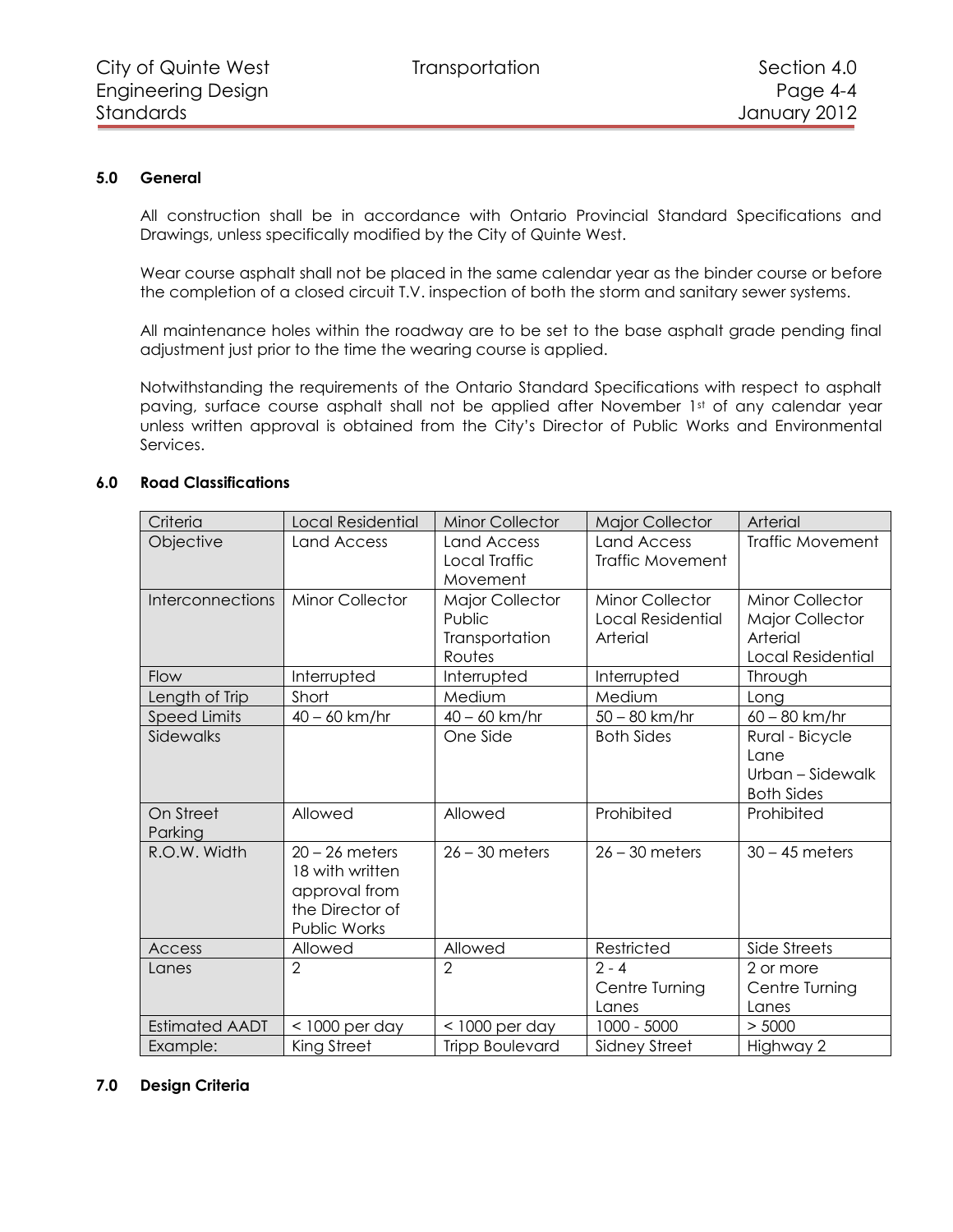# **5.0 General**

<span id="page-3-0"></span>All construction shall be in accordance with Ontario Provincial Standard Specifications and Drawings, unless specifically modified by the City of Quinte West.

Wear course asphalt shall not be placed in the same calendar year as the binder course or before the completion of a closed circuit T.V. inspection of both the storm and sanitary sewer systems.

All maintenance holes within the roadway are to be set to the base asphalt grade pending final adjustment just prior to the time the wearing course is applied.

Notwithstanding the requirements of the Ontario Standard Specifications with respect to asphalt paving, surface course asphalt shall not be applied after November 1st of any calendar year unless written approval is obtained from the City's Director of Public Works and Environmental Services.

<span id="page-3-1"></span>

| Criteria                | <b>Local Residential</b>                                                                | <b>Minor Collector</b>                                       | <b>Major Collector</b>                                  | Arterial                                                                                 |
|-------------------------|-----------------------------------------------------------------------------------------|--------------------------------------------------------------|---------------------------------------------------------|------------------------------------------------------------------------------------------|
| Objective               | Land Access                                                                             | Land Access<br>Local Traffic<br>Movement                     | <b>Land Access</b><br>Traffic Movement                  | <b>Traffic Movement</b>                                                                  |
| <b>Interconnections</b> | <b>Minor Collector</b>                                                                  | <b>Major Collector</b><br>Public<br>Transportation<br>Routes | <b>Minor Collector</b><br>Local Residential<br>Arterial | <b>Minor Collector</b><br><b>Major Collector</b><br>Arterial<br><b>Local Residential</b> |
| Flow                    | Interrupted                                                                             | Interrupted                                                  | Interrupted                                             | Through                                                                                  |
| Length of Trip          | Short                                                                                   | Medium                                                       | Medium                                                  | Long                                                                                     |
| <b>Speed Limits</b>     | $40 - 60$ km/hr                                                                         | $40 - 60$ km/hr                                              | $50 - 80$ km/hr                                         | $60 - 80$ km/hr                                                                          |
| Sidewalks               |                                                                                         | One Side                                                     | <b>Both Sides</b>                                       | Rural - Bicycle<br>Lane<br>Urban - Sidewalk<br><b>Both Sides</b>                         |
| On Street<br>Parking    | Allowed                                                                                 | Allowed                                                      | Prohibited                                              | Prohibited                                                                               |
| R.O.W. Width            | $20 - 26$ meters<br>18 with written<br>approval from<br>the Director of<br>Public Works | $26 - 30$ meters                                             | $26 - 30$ meters                                        | $30 - 45$ meters                                                                         |
| Access                  | Allowed                                                                                 | Allowed                                                      | Restricted                                              | Side Streets                                                                             |
| Lanes                   | $\overline{2}$                                                                          | $\overline{2}$                                               | $2 - 4$<br>Centre Turning<br>Lanes                      | 2 or more<br>Centre Turning<br>Lanes                                                     |
| <b>Estimated AADT</b>   | $<$ 1000 per day                                                                        | $<$ 1000 per day                                             | 1000 - 5000                                             | > 5000                                                                                   |
| Example:                | King Street                                                                             | <b>Tripp Boulevard</b>                                       | Sidney Street                                           | Highway 2                                                                                |

# **6.0 Road Classifications**

## <span id="page-3-2"></span>**7.0 Design Criteria**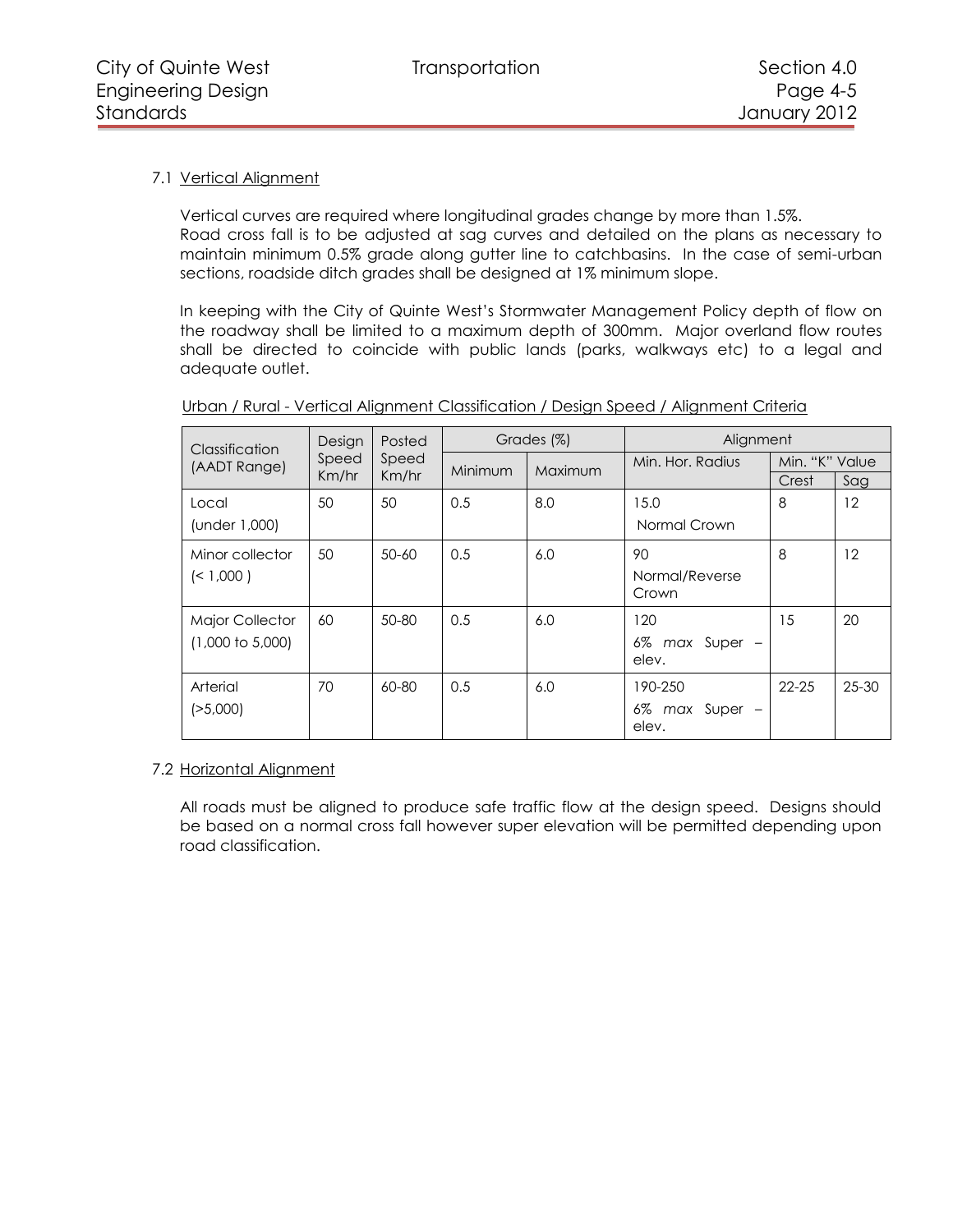# <span id="page-4-0"></span>7.1 Vertical Alignment

Vertical curves are required where longitudinal grades change by more than 1.5%. Road cross fall is to be adjusted at sag curves and detailed on the plans as necessary to maintain minimum 0.5% grade along gutter line to catchbasins. In the case of semi-urban sections, roadside ditch grades shall be designed at 1% minimum slope.

In keeping with the City of Quinte West's Stormwater Management Policy depth of flow on the roadway shall be limited to a maximum depth of 300mm. Major overland flow routes shall be directed to coincide with public lands (parks, walkways etc) to a legal and adequate outlet.

| Classification              | Design | Posted    | Grades (%) |         | Alignment                  |                |           |
|-----------------------------|--------|-----------|------------|---------|----------------------------|----------------|-----------|
| (AADT Range)                | Speed  | Speed     | Minimum    | Maximum | Min. Hor. Radius           | Min. "K" Value |           |
|                             | Km/hr  | Km/hr     |            |         |                            | Crest          | Sag       |
| Local                       | 50     | 50        | 0.5        | 8.0     | 15.0                       | 8              | 12        |
| (under 1,000)               |        |           |            |         | Normal Crown               |                |           |
| Minor collector             | 50     | $50 - 60$ | 0.5        | 6.0     | 90                         | 8              | 12        |
| $($ < 1,000 )               |        |           |            |         | Normal/Reverse<br>Crown    |                |           |
| <b>Major Collector</b>      | 60     | $50 - 80$ | 0.5        | 6.0     | 120                        | 15             | 20        |
| $(1,000 \text{ to } 5,000)$ |        |           |            |         | 6%<br>max Super -<br>elev. |                |           |
| Arterial                    | 70     | 60-80     | 0.5        | 6.0     | 190-250                    | $22 - 25$      | $25 - 30$ |
| ( > 5,000)                  |        |           |            |         | 6% max Super -<br>elev.    |                |           |

# Urban / Rural - Vertical Alignment Classification / Design Speed / Alignment Criteria

## <span id="page-4-1"></span>7.2 Horizontal Alignment

All roads must be aligned to produce safe traffic flow at the design speed. Designs should be based on a normal cross fall however super elevation will be permitted depending upon road classification.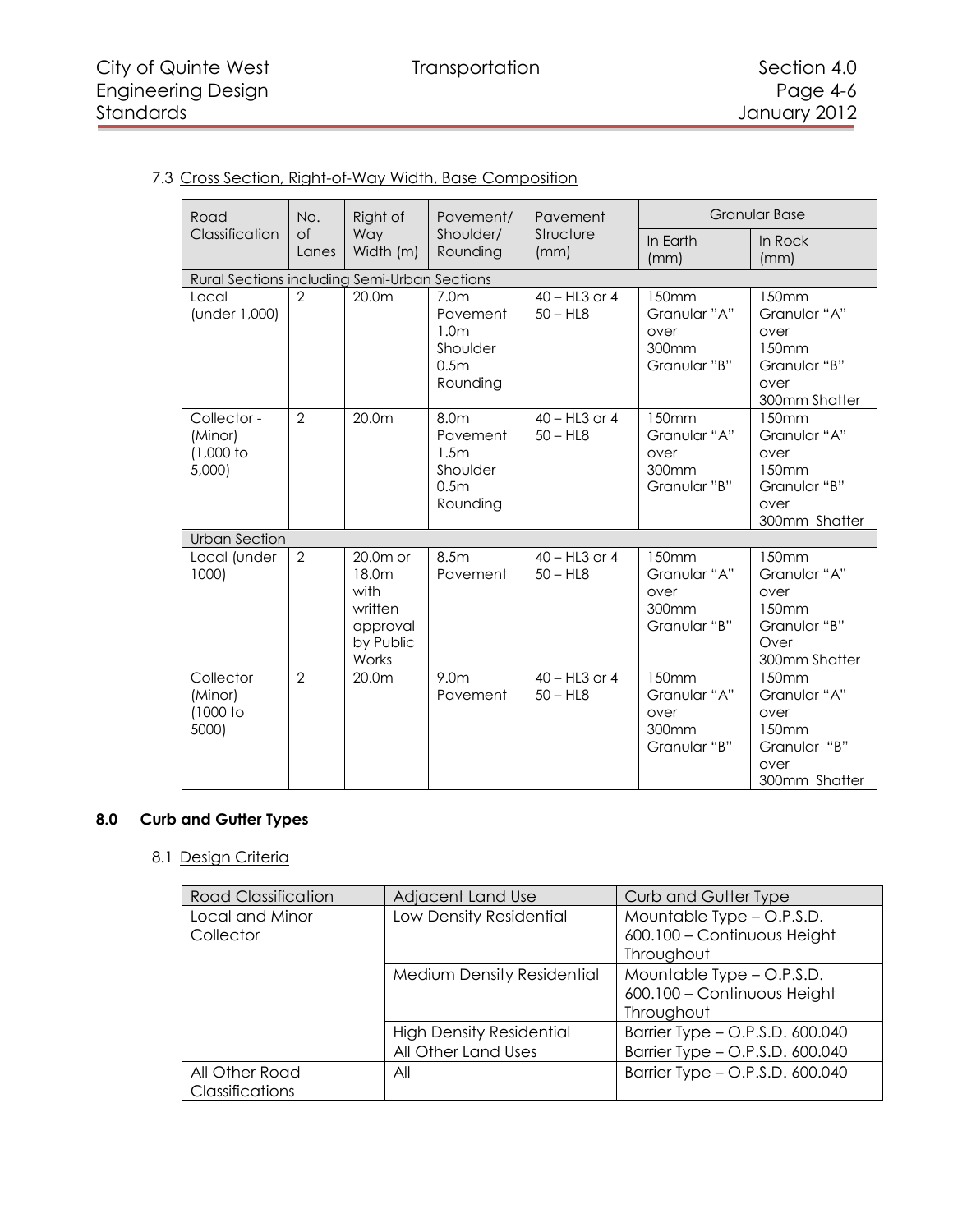# <span id="page-5-0"></span>7.3 Cross Section, Right-of-Way Width, Base Composition

| Road                                           | No.                | Right of                                                                 | Pavement/                                                                                    | Pavement<br>Structure<br>(mm) |                                                                    | <b>Granular Base</b>                                                                        |
|------------------------------------------------|--------------------|--------------------------------------------------------------------------|----------------------------------------------------------------------------------------------|-------------------------------|--------------------------------------------------------------------|---------------------------------------------------------------------------------------------|
| Classification                                 | $\circ$ f<br>Lanes | Way<br>Width (m)                                                         | Shoulder/<br>Rounding                                                                        |                               | In Earth<br>(mm)                                                   | In Rock<br>(mm)                                                                             |
| Rural Sections including Semi-Urban Sections   |                    |                                                                          |                                                                                              |                               |                                                                    |                                                                                             |
| Local<br>(under 1,000)                         | 2                  | 20.0m                                                                    | 7.0 <sub>m</sub><br>Pavement<br>1.0 <sub>m</sub><br>Shoulder<br>0.5 <sub>m</sub><br>Rounding | $40 - HL3$ or 4<br>$50 - HL8$ | 150 <sub>mm</sub><br>Granular "A"<br>over<br>300mm<br>Granular "B" | 150 <sub>mm</sub><br>Granular "A"<br>over<br>150mm<br>Granular "B"<br>over<br>300mm Shatter |
| Collector -<br>(Minor)<br>$(1,000$ to<br>5,000 | 2                  | 20.0m                                                                    | 8.0m<br>Pavement<br>1.5m<br>Shoulder<br>0.5 <sub>m</sub><br>Rounding                         | $40 - HL3$ or 4<br>$50 - HL8$ | 150mm<br>Granular "A"<br>over<br>300mm<br>Granular "B"             | 150mm<br>Granular "A"<br>over<br>150mm<br>Granular "B"<br>over<br>300mm Shatter             |
| <b>Urban Section</b>                           |                    |                                                                          |                                                                                              |                               |                                                                    |                                                                                             |
| Local (under<br>1000)                          | $\overline{2}$     | $20.0m$ or<br>18.0m<br>with<br>written<br>approval<br>by Public<br>Works | 8.5m<br>Pavement                                                                             | $40 - HL3$ or 4<br>$50 - HL8$ | 150mm<br>Granular "A"<br>over<br>300mm<br>Granular "B"             | 150mm<br>Granular "A"<br>over<br>150mm<br>Granular "B"<br>Over<br>300mm Shatter             |
| Collector<br>(Minor)<br>(1000 to<br>5000)      | $\mathcal{P}$      | 20.0m                                                                    | 9.0 <sub>m</sub><br>Pavement                                                                 | $40 - HL3$ or 4<br>$50 - HL8$ | 150mm<br>Granular "A"<br>over<br>300mm<br>Granular "B"             | 150mm<br>Granular "A"<br>over<br>150 <sub>mm</sub><br>Granular "B"<br>over<br>300mm Shatter |

# **8.0 Curb and Gutter Types**

# <span id="page-5-2"></span><span id="page-5-1"></span>8.1 Design Criteria

| <b>Road Classification</b> | Adjacent Land Use                 | Curb and Gutter Type            |
|----------------------------|-----------------------------------|---------------------------------|
| Local and Minor            | Low Density Residential           | Mountable Type - O.P.S.D.       |
| Collector                  |                                   | 600.100 - Continuous Height     |
|                            |                                   | Throughout                      |
|                            | <b>Medium Density Residential</b> | Mountable Type - O.P.S.D.       |
|                            |                                   | 600.100 - Continuous Height     |
|                            |                                   | Throughout                      |
|                            | <b>High Density Residential</b>   | Barrier Type - O.P.S.D. 600.040 |
|                            | All Other Land Uses               | Barrier Type - O.P.S.D. 600.040 |
| All Other Road             | All                               | Barrier Type - O.P.S.D. 600.040 |
| Classifications            |                                   |                                 |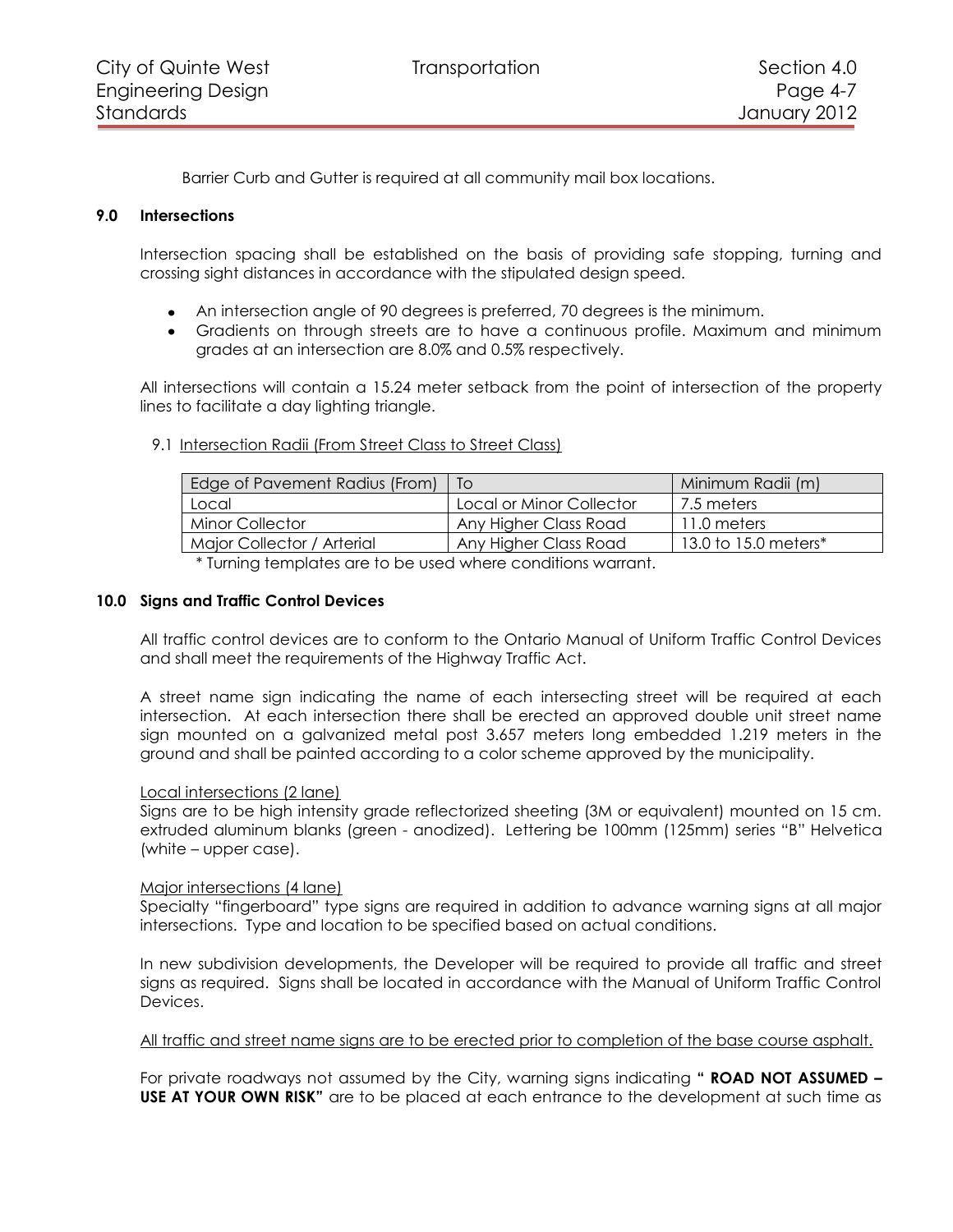Barrier Curb and Gutter is required at all community mail box locations.

## **9.0 Intersections**

<span id="page-6-0"></span>Intersection spacing shall be established on the basis of providing safe stopping, turning and crossing sight distances in accordance with the stipulated design speed.

- An intersection angle of 90 degrees is preferred, 70 degrees is the minimum.
- Gradients on through streets are to have a continuous profile. Maximum and minimum grades at an intersection are 8.0% and 0.5% respectively.

All intersections will contain a 15.24 meter setback from the point of intersection of the property lines to facilitate a day lighting triangle.

#### <span id="page-6-1"></span>9.1 Intersection Radii (From Street Class to Street Class)

| Edge of Pavement Radius (From)   To |                          | Minimum Radii (m)    |
|-------------------------------------|--------------------------|----------------------|
| Local                               | Local or Minor Collector | 7.5 meters           |
| <b>Minor Collector</b>              | Any Higher Class Road    | 11.0 meters          |
| Major Collector / Arterial          | Any Higher Class Road    | 13.0 to 15.0 meters* |

\* Turning templates are to be used where conditions warrant.

#### **10.0 Signs and Traffic Control Devices**

<span id="page-6-2"></span>All traffic control devices are to conform to the Ontario Manual of Uniform Traffic Control Devices and shall meet the requirements of the Highway Traffic Act.

A street name sign indicating the name of each intersecting street will be required at each intersection. At each intersection there shall be erected an approved double unit street name sign mounted on a galvanized metal post 3.657 meters long embedded 1.219 meters in the ground and shall be painted according to a color scheme approved by the municipality.

#### Local intersections (2 lane)

Signs are to be high intensity grade reflectorized sheeting (3M or equivalent) mounted on 15 cm. extruded aluminum blanks (green - anodized). Lettering be 100mm (125mm) series "B" Helvetica (white – upper case).

#### Major intersections (4 lane)

Specialty "fingerboard" type signs are required in addition to advance warning signs at all major intersections. Type and location to be specified based on actual conditions.

In new subdivision developments, the Developer will be required to provide all traffic and street signs as required. Signs shall be located in accordance with the Manual of Uniform Traffic Control Devices.

#### All traffic and street name signs are to be erected prior to completion of the base course asphalt.

For private roadways not assumed by the City, warning signs indicating **" ROAD NOT ASSUMED – USE AT YOUR OWN RISK"** are to be placed at each entrance to the development at such time as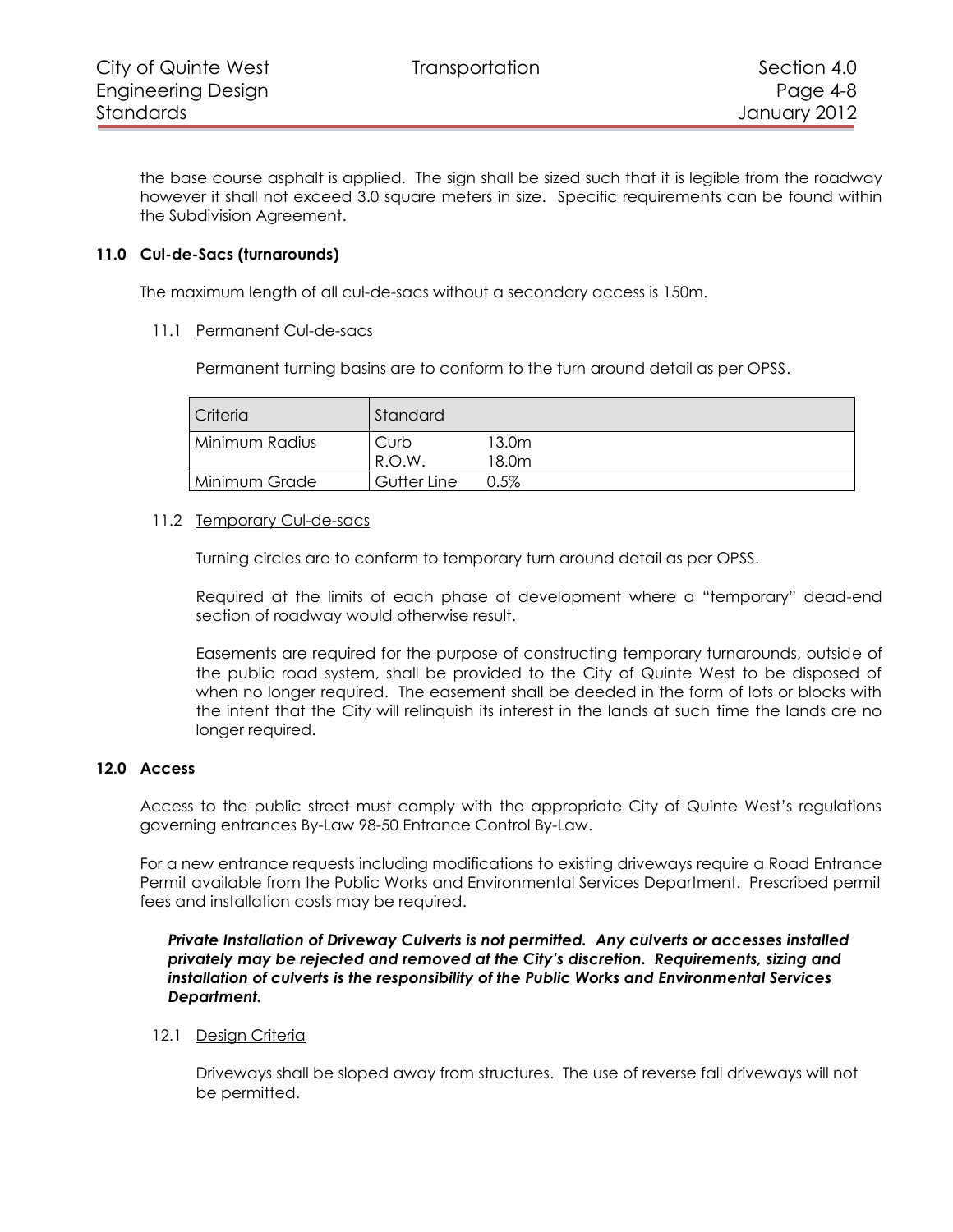the base course asphalt is applied. The sign shall be sized such that it is legible from the roadway however it shall not exceed 3.0 square meters in size. Specific requirements can be found within the Subdivision Agreement.

## **11.0 Cul-de-Sacs (turnarounds)**

<span id="page-7-0"></span>The maximum length of all cul-de-sacs without a secondary access is 150m.

## <span id="page-7-1"></span>11.1 Permanent Cul-de-sacs

Permanent turning basins are to conform to the turn around detail as per OPSS.

| <b>Criteria</b> | Standard      |                |
|-----------------|---------------|----------------|
| Minimum Radius  | Curb<br>R.O.W | 13.0m<br>18.0m |
| Minimum Grade   | Gutter Line   | $0.5\%$        |

#### <span id="page-7-2"></span>11.2 Temporary Cul-de-sacs

Turning circles are to conform to temporary turn around detail as per OPSS.

Required at the limits of each phase of development where a "temporary" dead-end section of roadway would otherwise result.

Easements are required for the purpose of constructing temporary turnarounds, outside of the public road system, shall be provided to the City of Quinte West to be disposed of when no longer required. The easement shall be deeded in the form of lots or blocks with the intent that the City will relinquish its interest in the lands at such time the lands are no longer required.

## **12.0 Access**

<span id="page-7-3"></span>Access to the public street must comply with the appropriate City of Quinte West's regulations governing entrances By-Law 98-50 Entrance Control By-Law.

For a new entrance requests including modifications to existing driveways require a Road Entrance Permit available from the Public Works and Environmental Services Department. Prescribed permit fees and installation costs may be required.

*Private Installation of Driveway Culverts is not permitted. Any culverts or accesses installed privately may be rejected and removed at the City's discretion. Requirements, sizing and installation of culverts is the responsibility of the Public Works and Environmental Services Department.*

## <span id="page-7-4"></span>12.1 Design Criteria

Driveways shall be sloped away from structures. The use of reverse fall driveways will not be permitted.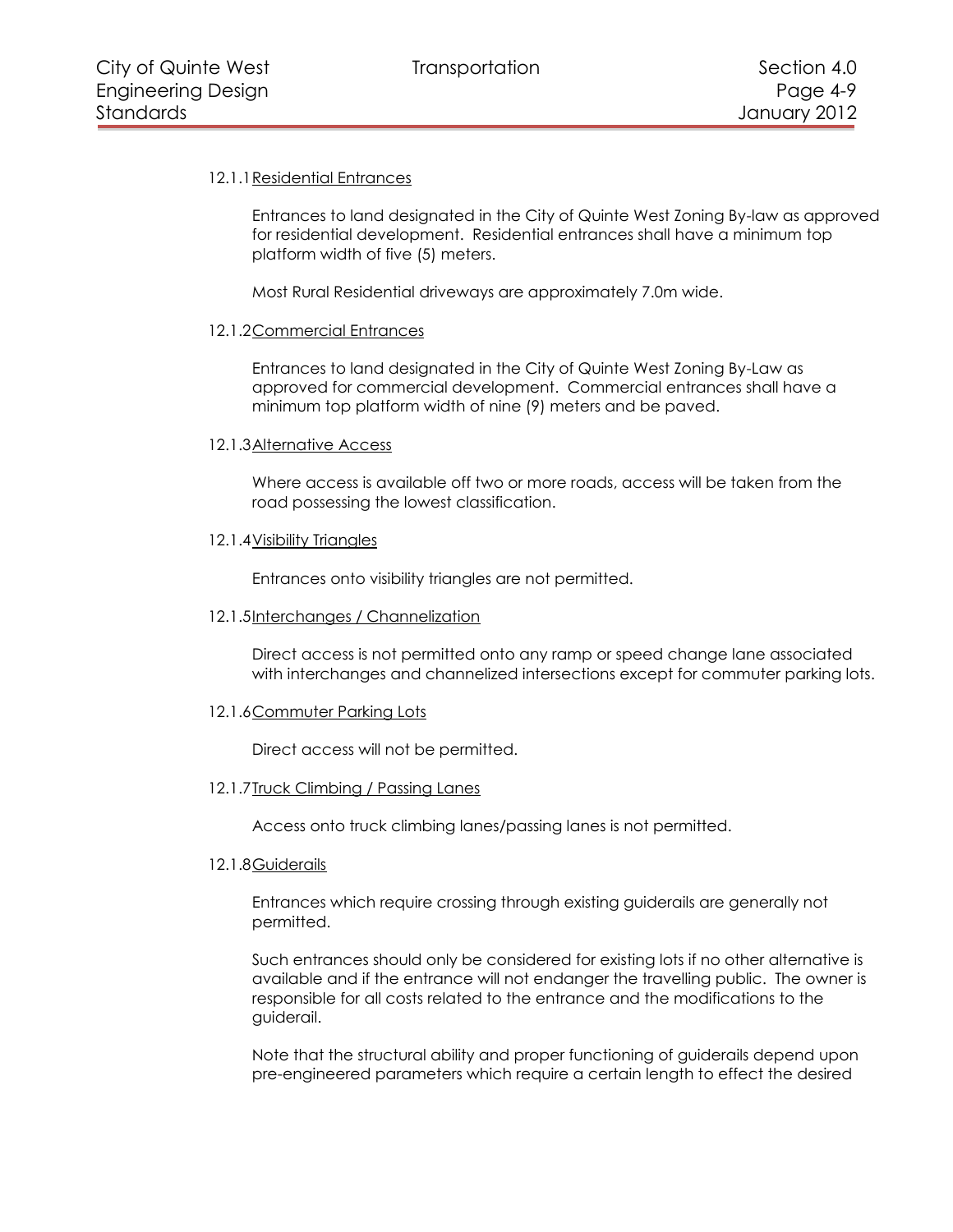# <span id="page-8-0"></span>12.1.1 Residential Entrances

Entrances to land designated in the City of Quinte West Zoning By-law as approved for residential development. Residential entrances shall have a minimum top platform width of five (5) meters.

Most Rural Residential driveways are approximately 7.0m wide.

## <span id="page-8-1"></span>12.1.2Commercial Entrances

Entrances to land designated in the City of Quinte West Zoning By-Law as approved for commercial development. Commercial entrances shall have a minimum top platform width of nine (9) meters and be paved.

## <span id="page-8-2"></span>12.1.3Alternative Access

Where access is available off two or more roads, access will be taken from the road possessing the lowest classification.

## <span id="page-8-3"></span>12.1.4Visibility Triangles

Entrances onto visibility triangles are not permitted.

#### <span id="page-8-4"></span>12.1.5Interchanges / Channelization

Direct access is not permitted onto any ramp or speed change lane associated with interchanges and channelized intersections except for commuter parking lots.

## <span id="page-8-5"></span>12.1.6Commuter Parking Lots

Direct access will not be permitted.

## <span id="page-8-6"></span>12.1.7Truck Climbing / Passing Lanes

Access onto truck climbing lanes/passing lanes is not permitted.

#### <span id="page-8-7"></span>12.1.8 Guiderails

Entrances which require crossing through existing guiderails are generally not permitted.

Such entrances should only be considered for existing lots if no other alternative is available and if the entrance will not endanger the travelling public. The owner is responsible for all costs related to the entrance and the modifications to the guiderail.

Note that the structural ability and proper functioning of guiderails depend upon pre-engineered parameters which require a certain length to effect the desired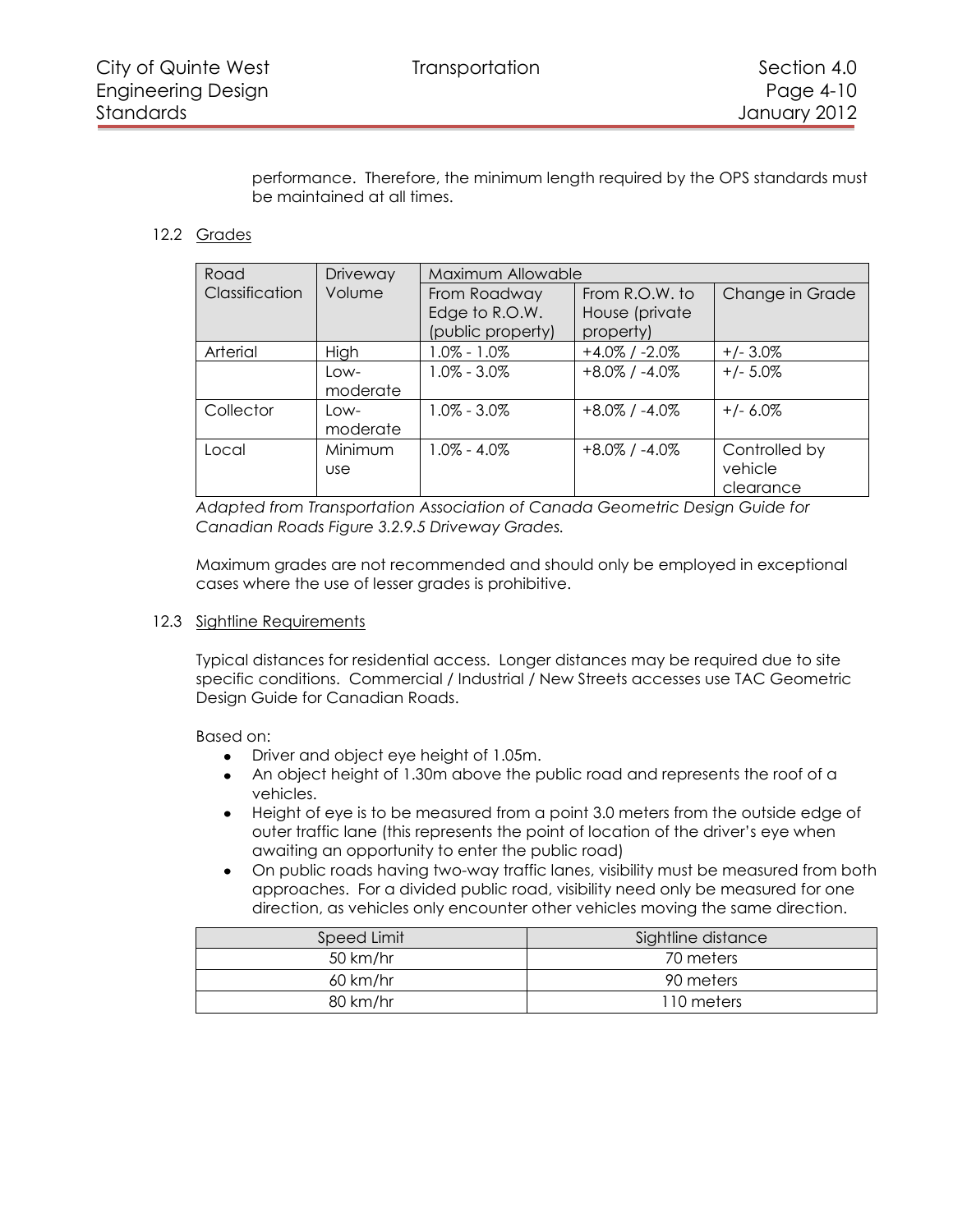performance. Therefore, the minimum length required by the OPS standards must be maintained at all times.

# <span id="page-9-0"></span>12.2 Grades

| Road           | Driveway   | Maximum Allowable |                     |                 |
|----------------|------------|-------------------|---------------------|-----------------|
| Classification | Volume     | From Roadway      | From R.O.W. to      | Change in Grade |
|                |            | Edge to R.O.W.    | House (private      |                 |
|                |            | (public property) | property)           |                 |
| Arterial       | High       | $1.0\% - 1.0\%$   | $+4.0\%$ / $-2.0\%$ | $+/- 3.0\%$     |
|                | l ow-      | $1.0\% - 3.0\%$   | $+8.0\%$ / $-4.0\%$ | $+/- 5.0\%$     |
|                | moderate   |                   |                     |                 |
| Collector      | l ow-      | $1.0\% - 3.0\%$   | $+8.0\%$ / -4.0%    | $+/- 6.0\%$     |
|                | moderate   |                   |                     |                 |
| Local          | Minimum    | $1.0\% - 4.0\%$   | $+8.0\%$ / -4.0%    | Controlled by   |
|                | <b>use</b> |                   |                     | vehicle         |
|                |            |                   |                     | clearance       |

*Adapted from Transportation Association of Canada Geometric Design Guide for Canadian Roads Figure 3.2.9.5 Driveway Grades.* 

Maximum grades are not recommended and should only be employed in exceptional cases where the use of lesser grades is prohibitive.

## <span id="page-9-1"></span>12.3 Sightline Requirements

Typical distances for residential access. Longer distances may be required due to site specific conditions. Commercial / Industrial / New Streets accesses use TAC Geometric Design Guide for Canadian Roads.

Based on:

- Driver and object eye height of 1.05m.
- An object height of 1.30m above the public road and represents the roof of a vehicles.
- Height of eye is to be measured from a point 3.0 meters from the outside edge of  $\bullet$ outer traffic lane (this represents the point of location of the driver's eye when awaiting an opportunity to enter the public road)
- On public roads having two-way traffic lanes, visibility must be measured from both  $\bullet$ approaches. For a divided public road, visibility need only be measured for one direction, as vehicles only encounter other vehicles moving the same direction.

| Speed Limit | Sightline distance |
|-------------|--------------------|
| 50 km/hr    | 70 meters          |
| 60 km/hr    | 90 meters          |
| 80 km/hr    | 110 meters         |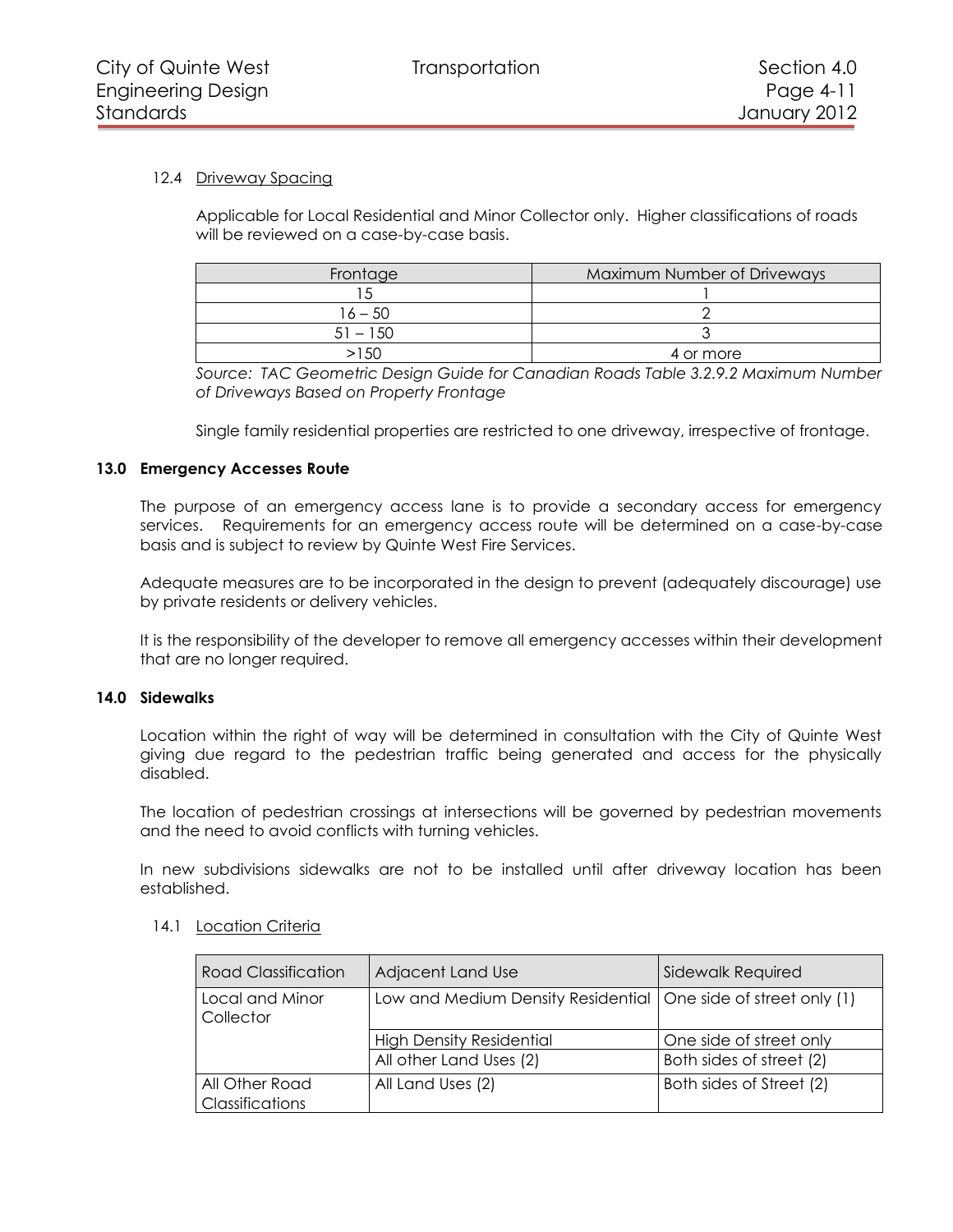# <span id="page-10-0"></span>12.4 Driveway Spacing

Applicable for Local Residential and Minor Collector only. Higher classifications of roads will be reviewed on a case-by-case basis.

| Frontage   | Maximum Number of Driveways |
|------------|-----------------------------|
|            |                             |
| 16 – 50    |                             |
| $51 - 150$ |                             |
|            | 4 or more                   |

*Source: TAC Geometric Design Guide for Canadian Roads Table 3.2.9.2 Maximum Number of Driveways Based on Property Frontage*

Single family residential properties are restricted to one driveway, irrespective of frontage.

## <span id="page-10-1"></span>**13.0 Emergency Accesses Route**

The purpose of an emergency access lane is to provide a secondary access for emergency services. Requirements for an emergency access route will be determined on a case-by-case basis and is subject to review by Quinte West Fire Services.

Adequate measures are to be incorporated in the design to prevent (adequately discourage) use by private residents or delivery vehicles.

It is the responsibility of the developer to remove all emergency accesses within their development that are no longer required.

## **14.0 Sidewalks**

<span id="page-10-2"></span>Location within the right of way will be determined in consultation with the City of Quinte West giving due regard to the pedestrian traffic being generated and access for the physically disabled.

The location of pedestrian crossings at intersections will be governed by pedestrian movements and the need to avoid conflicts with turning vehicles.

In new subdivisions sidewalks are not to be installed until after driveway location has been established.

#### <span id="page-10-3"></span>14.1 Location Criteria

| <b>Road Classification</b>               | Adjacent Land Use                                                | Sidewalk Required        |
|------------------------------------------|------------------------------------------------------------------|--------------------------|
| Local and Minor<br>Collector             | Low and Medium Density Residential   One side of street only (1) |                          |
|                                          | <b>High Density Residential</b>                                  | One side of street only  |
|                                          | All other Land Uses (2)                                          | Both sides of street (2) |
| All Other Road<br><b>Classifications</b> | All Land Uses (2)                                                | Both sides of Street (2) |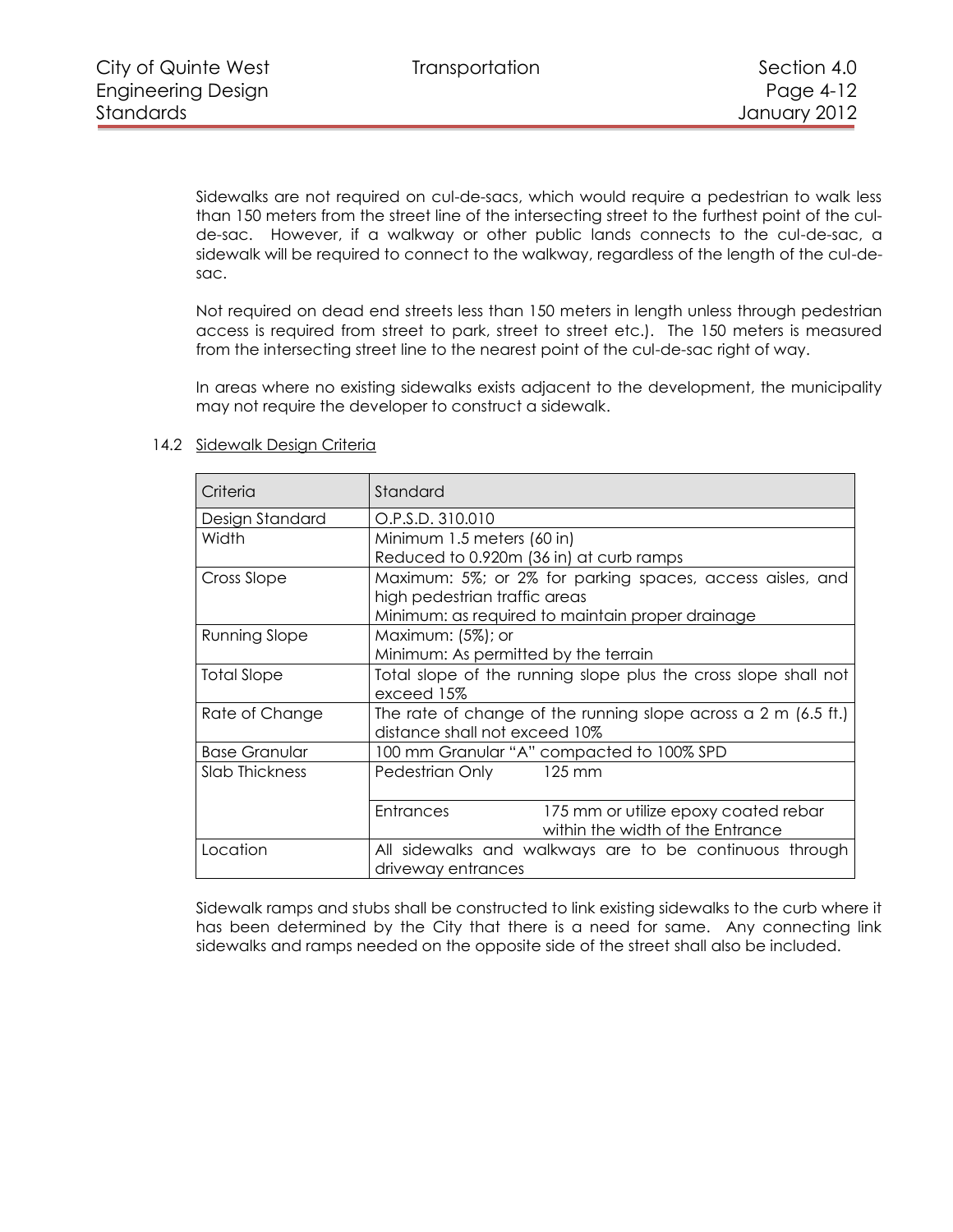Sidewalks are not required on cul-de-sacs, which would require a pedestrian to walk less than 150 meters from the street line of the intersecting street to the furthest point of the culde-sac. However, if a walkway or other public lands connects to the cul-de-sac, a sidewalk will be required to connect to the walkway, regardless of the length of the cul-desac.

Not required on dead end streets less than 150 meters in length unless through pedestrian access is required from street to park, street to street etc.). The 150 meters is measured from the intersecting street line to the nearest point of the cul-de-sac right of way.

In areas where no existing sidewalks exists adjacent to the development, the municipality may not require the developer to construct a sidewalk.

| Criteria             | Standard                                                                                                  |  |  |
|----------------------|-----------------------------------------------------------------------------------------------------------|--|--|
| Design Standard      | O.P.S.D. 310.010                                                                                          |  |  |
| Width                | Minimum 1.5 meters (60 in)                                                                                |  |  |
|                      | Reduced to 0.920m (36 in) at curb ramps                                                                   |  |  |
| Cross Slope          | Maximum: 5%; or 2% for parking spaces, access aisles, and                                                 |  |  |
|                      | high pedestrian traffic areas                                                                             |  |  |
|                      | Minimum: as required to maintain proper drainage                                                          |  |  |
| <b>Running Slope</b> | Maximum: $(5\%)$ ; or                                                                                     |  |  |
|                      | Minimum: As permitted by the terrain                                                                      |  |  |
| Total Slope          | Total slope of the running slope plus the cross slope shall not                                           |  |  |
|                      | exceed 15%                                                                                                |  |  |
| Rate of Change       | The rate of change of the running slope across a $2 \text{ m}$ (6.5 ft.)<br>distance shall not exceed 10% |  |  |
| <b>Base Granular</b> | 100 mm Granular "A" compacted to 100% SPD                                                                 |  |  |
| Slab Thickness       | Pedestrian Only<br>125 mm                                                                                 |  |  |
|                      | <b>Entrances</b><br>175 mm or utilize epoxy coated rebar                                                  |  |  |
|                      | within the width of the Entrance                                                                          |  |  |
| Location             | All sidewalks and walkways are to be continuous through<br>driveway entrances                             |  |  |

# <span id="page-11-0"></span>14.2 Sidewalk Design Criteria

Sidewalk ramps and stubs shall be constructed to link existing sidewalks to the curb where it has been determined by the City that there is a need for same. Any connecting link sidewalks and ramps needed on the opposite side of the street shall also be included.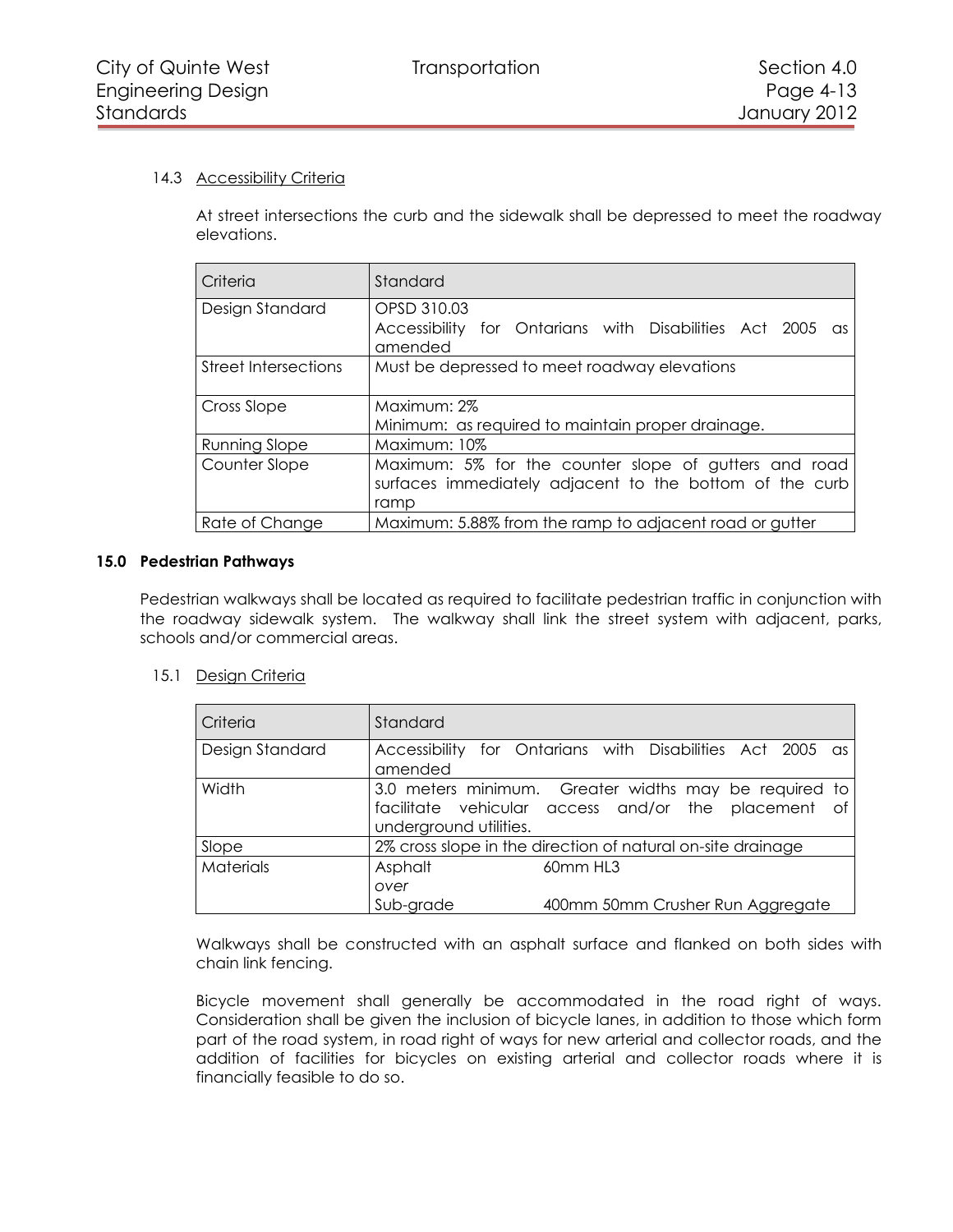## <span id="page-12-0"></span>14.3 Accessibility Criteria

At street intersections the curb and the sidewalk shall be depressed to meet the roadway elevations.

| Criteria              | Standard                                                                                                                 |  |  |
|-----------------------|--------------------------------------------------------------------------------------------------------------------------|--|--|
| Design Standard       | OPSD 310.03<br>Accessibility for Ontarians with Disabilities Act 2005<br>$\alpha s$<br>amended                           |  |  |
| Street Intersections  | Must be depressed to meet roadway elevations                                                                             |  |  |
| Cross Slope           | Maximum: 2%<br>Minimum: as required to maintain proper drainage.                                                         |  |  |
| Running Slope         | Maximum: 10%                                                                                                             |  |  |
| Counter Slope         | Maximum: 5% for the counter slope of gutters and road<br>surfaces immediately adjacent to the bottom of the curb<br>ramp |  |  |
| <b>Rate of Change</b> | Maximum: 5.88% from the ramp to adjacent road or gutter                                                                  |  |  |

## **15.0 Pedestrian Pathways**

<span id="page-12-1"></span>Pedestrian walkways shall be located as required to facilitate pedestrian traffic in conjunction with the roadway sidewalk system. The walkway shall link the street system with adjacent, parks, schools and/or commercial areas.

## <span id="page-12-2"></span>15.1 Design Criteria

| Criteria         | Standard                                                    |                                                                                                              |  |
|------------------|-------------------------------------------------------------|--------------------------------------------------------------------------------------------------------------|--|
| Design Standard  | amended                                                     | Accessibility for Ontarians with Disabilities Act 2005 as                                                    |  |
| Width            | underground utilities.                                      | 3.0 meters minimum. Greater widths may be required to<br>facilitate vehicular access and/or the placement of |  |
| Slope            | 2% cross slope in the direction of natural on-site drainage |                                                                                                              |  |
| <b>Materials</b> | Asphalt<br>over<br>Sub-grade                                | 60mm HL3<br>400mm 50mm Crusher Run Aggregate                                                                 |  |

Walkways shall be constructed with an asphalt surface and flanked on both sides with chain link fencing.

Bicycle movement shall generally be accommodated in the road right of ways. Consideration shall be given the inclusion of bicycle lanes, in addition to those which form part of the road system, in road right of ways for new arterial and collector roads, and the addition of facilities for bicycles on existing arterial and collector roads where it is financially feasible to do so.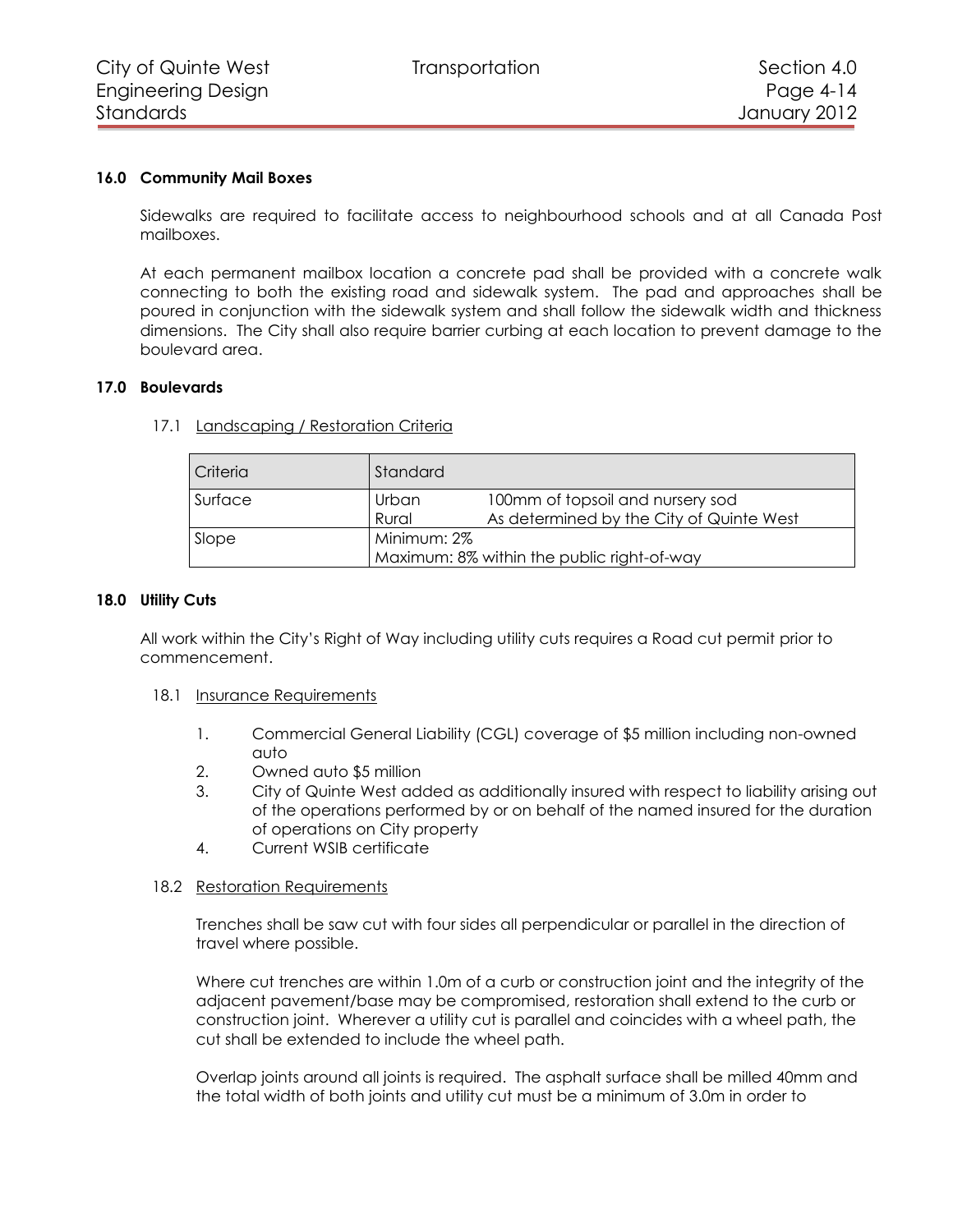#### **16.0 Community Mail Boxes**

<span id="page-13-0"></span>Sidewalks are required to facilitate access to neighbourhood schools and at all Canada Post mailboxes.

At each permanent mailbox location a concrete pad shall be provided with a concrete walk connecting to both the existing road and sidewalk system. The pad and approaches shall be poured in conjunction with the sidewalk system and shall follow the sidewalk width and thickness dimensions. The City shall also require barrier curbing at each location to prevent damage to the boulevard area.

#### <span id="page-13-1"></span>**17.0 Boulevards**

| Criteria | Standard                                                  |                                                                              |
|----------|-----------------------------------------------------------|------------------------------------------------------------------------------|
| Surface  | Urban<br>Rural                                            | 100mm of topsoil and nursery sod<br>As determined by the City of Quinte West |
| Slope    | Minimum: 2%<br>Maximum: 8% within the public right-of-way |                                                                              |

<span id="page-13-2"></span>17.1 Landscaping / Restoration Criteria

#### **18.0 Utility Cuts**

<span id="page-13-3"></span>All work within the City's Right of Way including utility cuts requires a Road cut permit prior to commencement.

#### <span id="page-13-4"></span>18.1 Insurance Requirements

- 1. Commercial General Liability (CGL) coverage of \$5 million including non-owned auto
- 2. Owned auto \$5 million
- 3. City of Quinte West added as additionally insured with respect to liability arising out of the operations performed by or on behalf of the named insured for the duration of operations on City property
- 4. Current WSIB certificate

#### <span id="page-13-5"></span>18.2 Restoration Requirements

Trenches shall be saw cut with four sides all perpendicular or parallel in the direction of travel where possible.

Where cut trenches are within 1.0m of a curb or construction joint and the integrity of the adjacent pavement/base may be compromised, restoration shall extend to the curb or construction joint. Wherever a utility cut is parallel and coincides with a wheel path, the cut shall be extended to include the wheel path.

Overlap joints around all joints is required. The asphalt surface shall be milled 40mm and the total width of both joints and utility cut must be a minimum of 3.0m in order to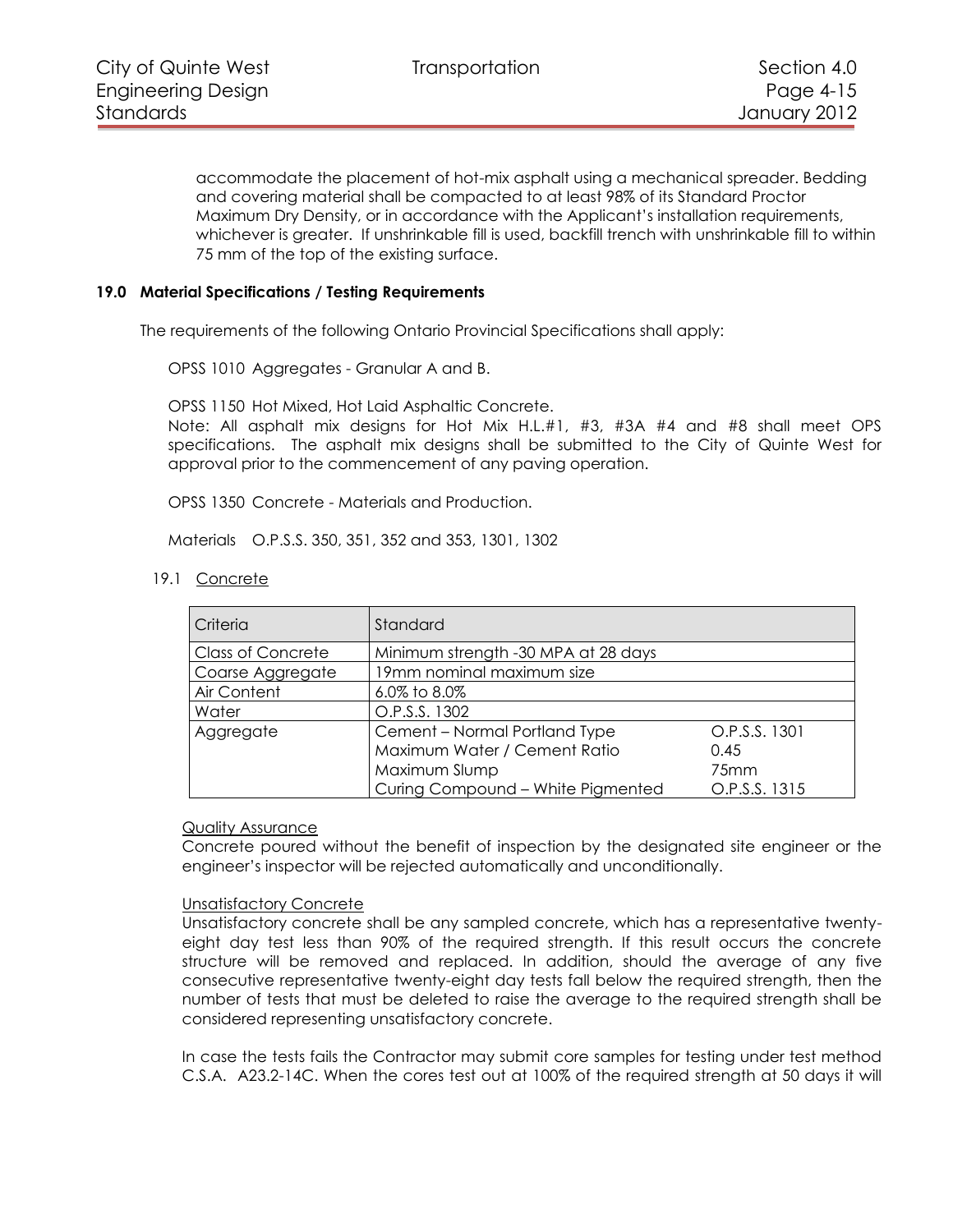accommodate the placement of hot-mix asphalt using a mechanical spreader. Bedding and covering material shall be compacted to at least 98% of its Standard Proctor Maximum Dry Density, or in accordance with the Applicant's installation requirements, whichever is greater. If unshrinkable fill is used, backfill trench with unshrinkable fill to within 75 mm of the top of the existing surface.

#### **19.0 Material Specifications / Testing Requirements**

<span id="page-14-0"></span>The requirements of the following Ontario Provincial Specifications shall apply:

OPSS 1010 Aggregates - Granular A and B.

OPSS 1150 Hot Mixed, Hot Laid Asphaltic Concrete.

Note: All asphalt mix designs for Hot Mix H.L.#1, #3, #3A #4 and #8 shall meet OPS specifications. The asphalt mix designs shall be submitted to the City of Quinte West for approval prior to the commencement of any paving operation.

OPSS 1350 Concrete - Materials and Production.

Materials O.P.S.S. 350, 351, 352 and 353, 1301, 1302

<span id="page-14-1"></span>19.1 Concrete

| Criteria                 | Standard                            |                  |  |
|--------------------------|-------------------------------------|------------------|--|
| <b>Class of Concrete</b> | Minimum strength -30 MPA at 28 days |                  |  |
| Coarse Aggregate         | 19mm nominal maximum size           |                  |  |
| Air Content              | 6.0% to 8.0%                        |                  |  |
| Water                    | O.P.S.S. 1302                       |                  |  |
| Aggregate                | Cement - Normal Portland Type       | O.P.S.S. 1301    |  |
|                          | Maximum Water / Cement Ratio        | 0.45             |  |
|                          | Maximum Slump                       | 75 <sub>mm</sub> |  |
|                          | Curing Compound - White Pigmented   | O.P.S.S. 1315    |  |

#### Quality Assurance

Concrete poured without the benefit of inspection by the designated site engineer or the engineer's inspector will be rejected automatically and unconditionally.

#### Unsatisfactory Concrete

Unsatisfactory concrete shall be any sampled concrete, which has a representative twentyeight day test less than 90% of the required strength. If this result occurs the concrete structure will be removed and replaced. In addition, should the average of any five consecutive representative twenty-eight day tests fall below the required strength, then the number of tests that must be deleted to raise the average to the required strength shall be considered representing unsatisfactory concrete.

In case the tests fails the Contractor may submit core samples for testing under test method C.S.A. A23.2-14C. When the cores test out at 100% of the required strength at 50 days it will